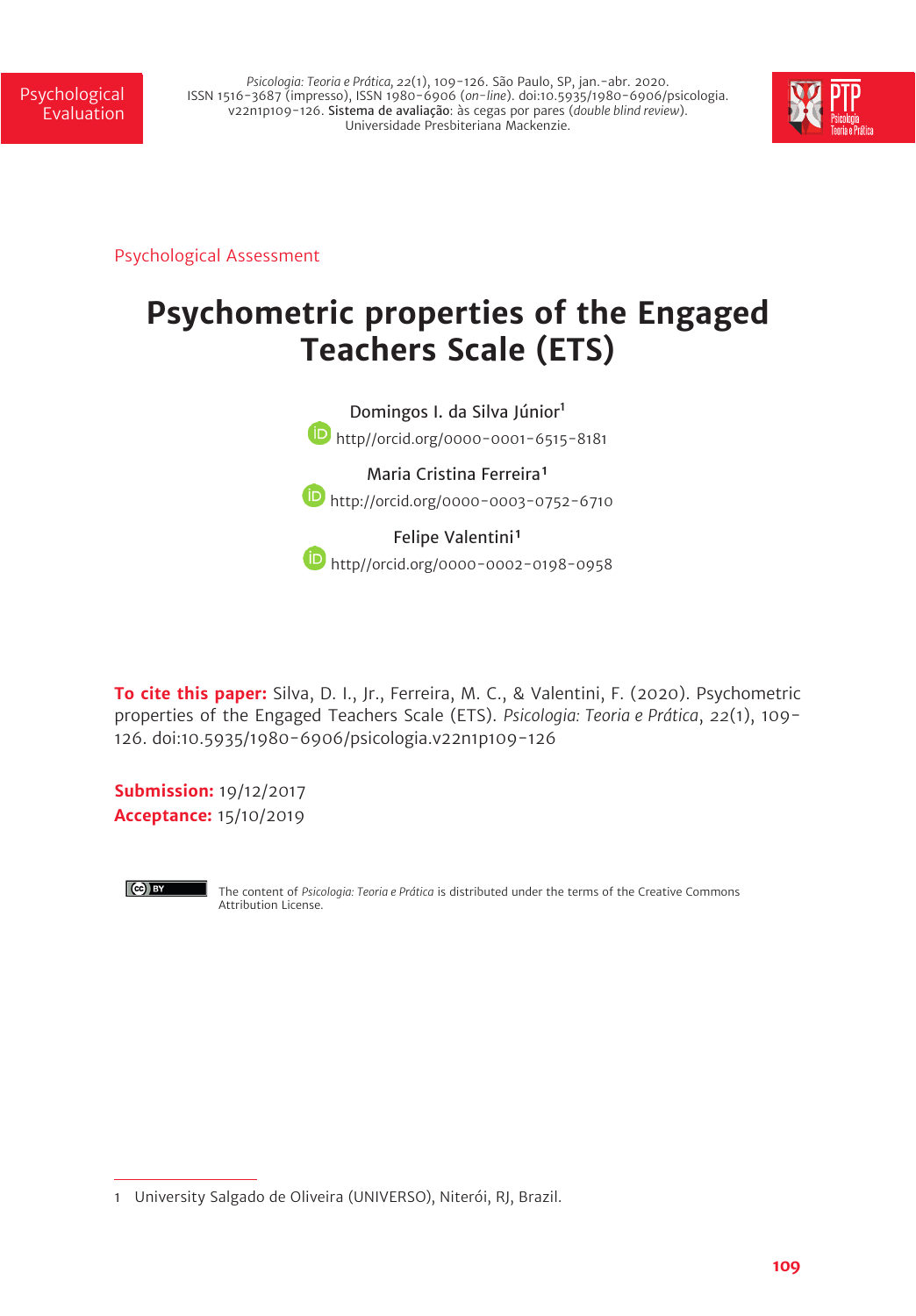Psychological *Psicologia: Teoria e Prática, 22*(1), 109-126. São Paulo, SP, jan.-abr. 2020. ISSN 1516-3687 (impresso), ISSN 1980-6906 (*on-line*). doi:10.5935/1980-6906/psicologia. v22n1p109-126. Sistema de avaliação: às cegas por pares (*double blind review*). Universidade Presbiteriana Mackenzie.



Psychological Assessment

# **Psychometric properties of the Engaged Teachers Scale (ETS)**



http://orcid.org/0000-0003-0752-6710

Felipe Valentini<sup>1</sup> **b** http//orcid.org/0000-0002-0198-0958

**To cite this paper:** Silva, D. I., Jr., Ferreira, M. C., & Valentini, F. (2020). Psychometric properties of the Engaged Teachers Scale (ETS). *Psicologia: Teoria e Prática*, *22*(1), 109- 126. doi:10.5935/1980-6906/psicologia.v22n1p109-126

**Submission:** 19/12/2017 **Acceptance:** 15/10/2019



The content of *Psicologia: Teoria e Prática* is distributed under the terms of the Creative Commons Attribution License.

<sup>1</sup> University Salgado de Oliveira (UNIVERSO), Niterói, RJ, Brazil.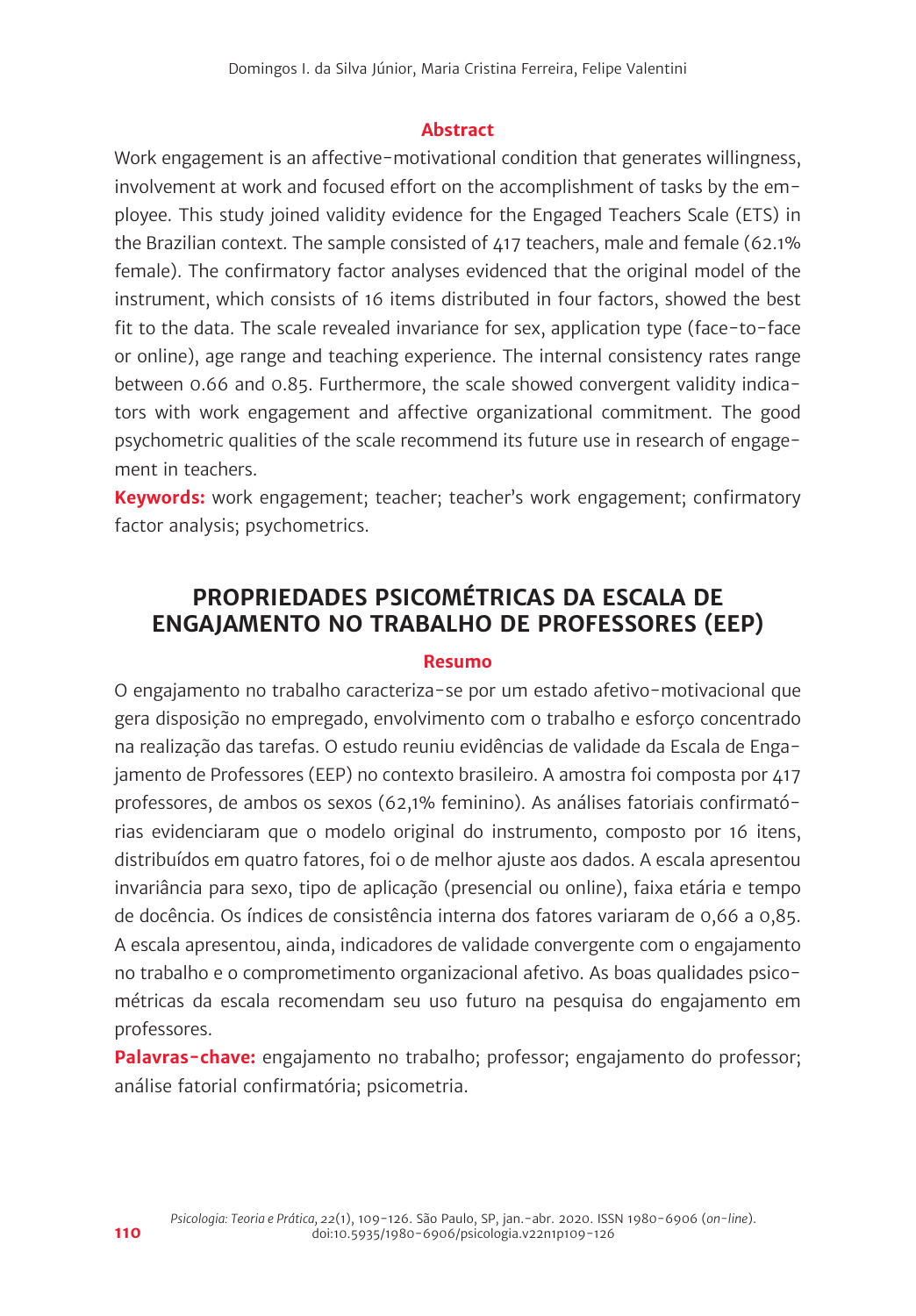#### **Abstract**

Work engagement is an affective-motivational condition that generates willingness, involvement at work and focused effort on the accomplishment of tasks by the employee. This study joined validity evidence for the Engaged Teachers Scale (ETS) in the Brazilian context. The sample consisted of 417 teachers, male and female (62.1% female). The confirmatory factor analyses evidenced that the original model of the instrument, which consists of 16 items distributed in four factors, showed the best fit to the data. The scale revealed invariance for sex, application type (face-to-face or online), age range and teaching experience. The internal consistency rates range between 0.66 and 0.85. Furthermore, the scale showed convergent validity indicators with work engagement and affective organizational commitment. The good psychometric qualities of the scale recommend its future use in research of engagement in teachers.

**Keywords:** work engagement; teacher; teacher's work engagement; confirmatory factor analysis; psychometrics.

# **PROPRIEDADES PSICOMÉTRICAS DA ESCALA DE ENGAJAMENTO NO TRABALHO DE PROFESSORES (EEP)**

#### **Resumo**

O engajamento no trabalho caracteriza-se por um estado afetivo-motivacional que gera disposição no empregado, envolvimento com o trabalho e esforço concentrado na realização das tarefas. O estudo reuniu evidências de validade da Escala de Engajamento de Professores (EEP) no contexto brasileiro. A amostra foi composta por 417 professores, de ambos os sexos (62,1% feminino). As análises fatoriais confirmatórias evidenciaram que o modelo original do instrumento, composto por 16 itens, distribuídos em quatro fatores, foi o de melhor ajuste aos dados. A escala apresentou invariância para sexo, tipo de aplicação (presencial ou online), faixa etária e tempo de docência. Os índices de consistência interna dos fatores variaram de 0,66 a 0,85. A escala apresentou, ainda, indicadores de validade convergente com o engajamento no trabalho e o comprometimento organizacional afetivo. As boas qualidades psicométricas da escala recomendam seu uso futuro na pesquisa do engajamento em professores.

**Palavras-chave:** engajamento no trabalho; professor; engajamento do professor; análise fatorial confirmatória; psicometria.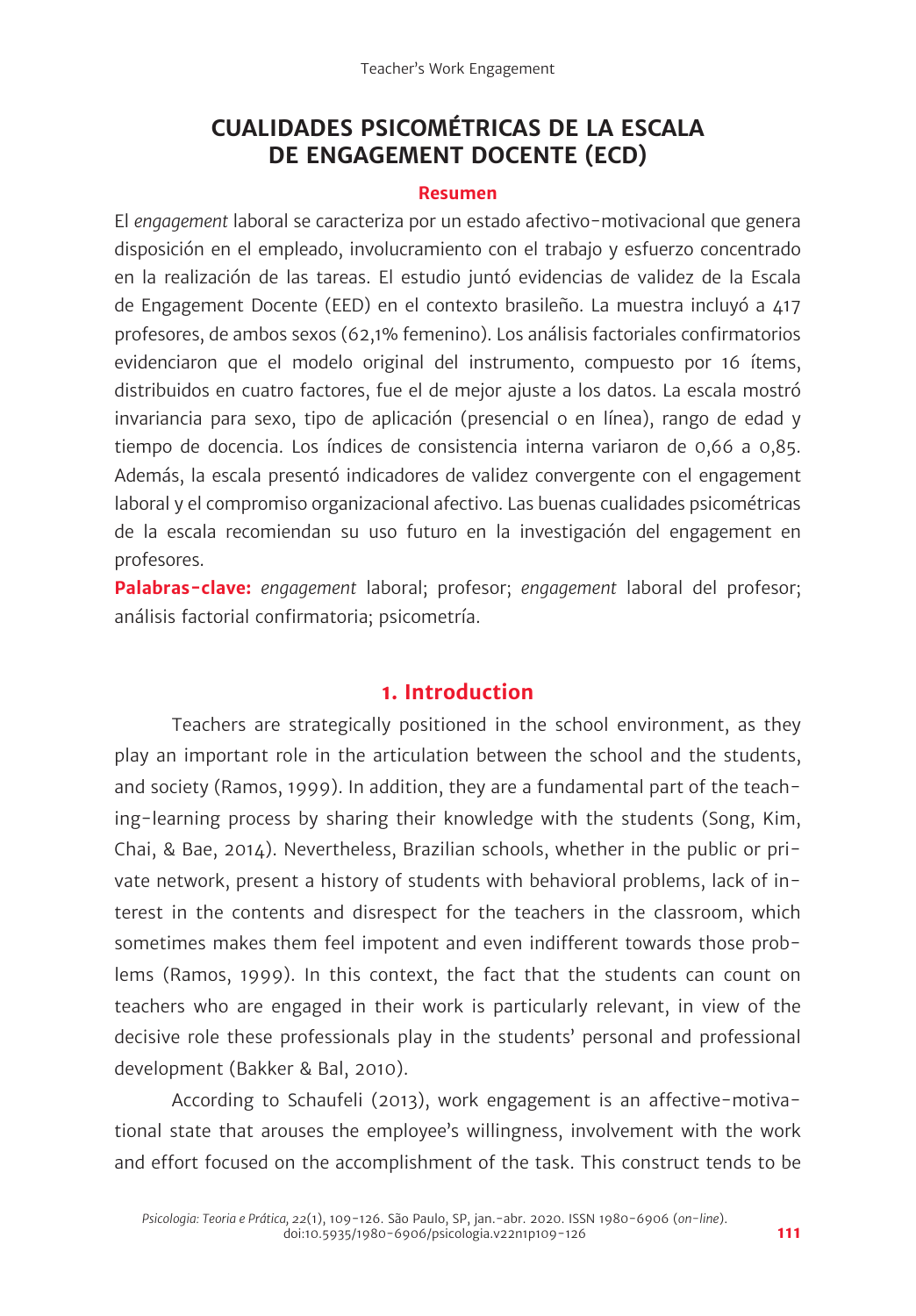# **CUALIDADES PSICOMÉTRICAS DE LA ESCALA DE ENGAGEMENT DOCENTE (ECD)**

#### **Resumen**

El *engagement* laboral se caracteriza por un estado afectivo-motivacional que genera disposición en el empleado, involucramiento con el trabajo y esfuerzo concentrado en la realización de las tareas. El estudio juntó evidencias de validez de la Escala de Engagement Docente (EED) en el contexto brasileño. La muestra incluyó a 417 profesores, de ambos sexos (62,1% femenino). Los análisis factoriales confirmatorios evidenciaron que el modelo original del instrumento, compuesto por 16 ítems, distribuidos en cuatro factores, fue el de mejor ajuste a los datos. La escala mostró invariancia para sexo, tipo de aplicación (presencial o en línea), rango de edad y tiempo de docencia. Los índices de consistencia interna variaron de 0,66 a 0,85. Además, la escala presentó indicadores de validez convergente con el engagement laboral y el compromiso organizacional afectivo. Las buenas cualidades psicométricas de la escala recomiendan su uso futuro en la investigación del engagement en profesores.

**Palabras-clave:** *engagement* laboral; profesor; *engagement* laboral del profesor; análisis factorial confirmatoria; psicometría.

# **1. Introduction**

Teachers are strategically positioned in the school environment, as they play an important role in the articulation between the school and the students, and society (Ramos, 1999). In addition, they are a fundamental part of the teaching-learning process by sharing their knowledge with the students (Song, Kim, Chai, & Bae, 2014). Nevertheless, Brazilian schools, whether in the public or private network, present a history of students with behavioral problems, lack of interest in the contents and disrespect for the teachers in the classroom, which sometimes makes them feel impotent and even indifferent towards those problems (Ramos, 1999). In this context, the fact that the students can count on teachers who are engaged in their work is particularly relevant, in view of the decisive role these professionals play in the students' personal and professional development (Bakker & Bal, 2010).

According to Schaufeli (2013), work engagement is an affective-motivational state that arouses the employee's willingness, involvement with the work and effort focused on the accomplishment of the task. This construct tends to be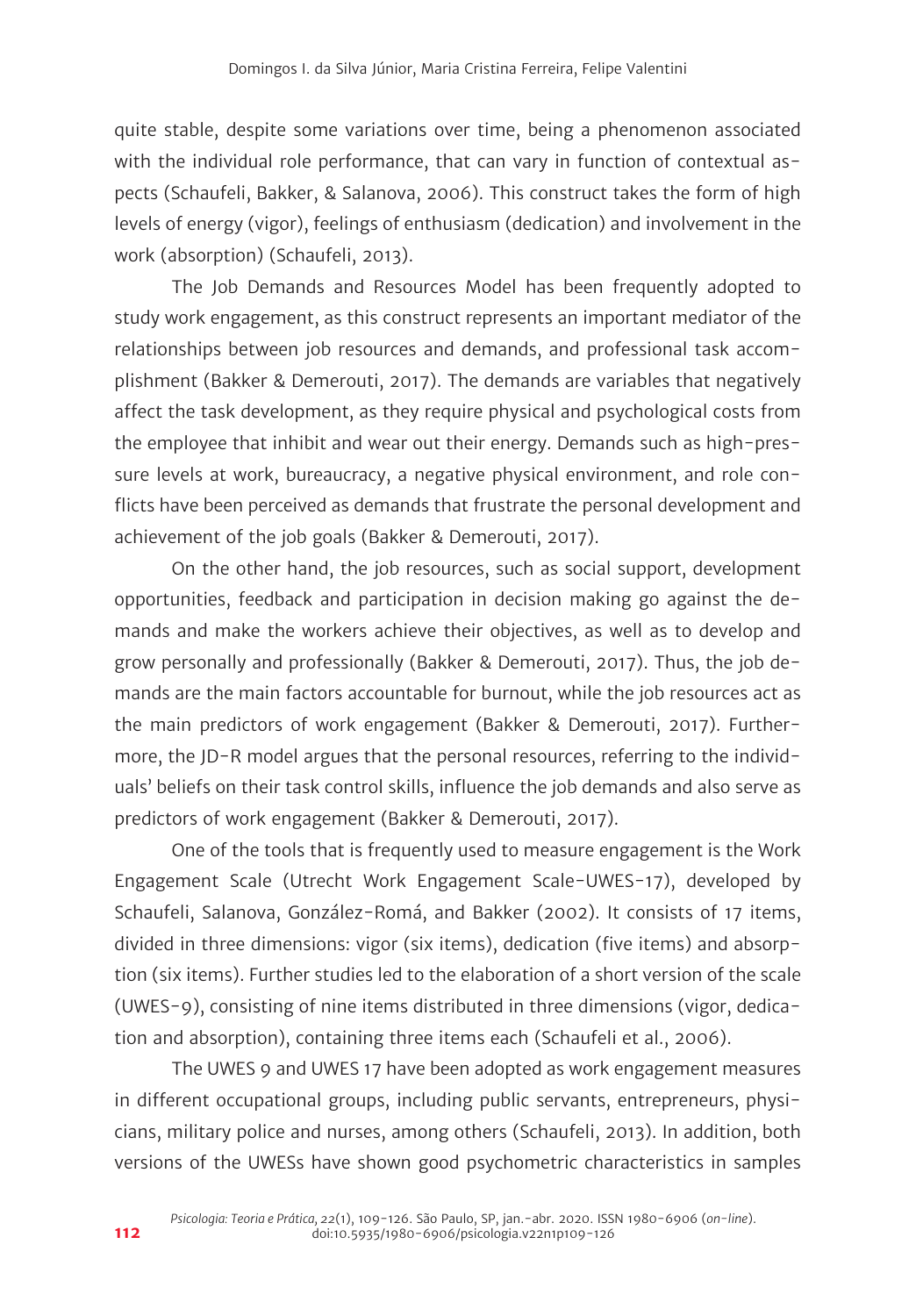quite stable, despite some variations over time, being a phenomenon associated with the individual role performance, that can vary in function of contextual aspects (Schaufeli, Bakker, & Salanova, 2006). This construct takes the form of high levels of energy (vigor), feelings of enthusiasm (dedication) and involvement in the work (absorption) (Schaufeli, 2013).

The Job Demands and Resources Model has been frequently adopted to study work engagement, as this construct represents an important mediator of the relationships between job resources and demands, and professional task accomplishment (Bakker & Demerouti, 2017). The demands are variables that negatively affect the task development, as they require physical and psychological costs from the employee that inhibit and wear out their energy. Demands such as high-pressure levels at work, bureaucracy, a negative physical environment, and role conflicts have been perceived as demands that frustrate the personal development and achievement of the job goals (Bakker & Demerouti, 2017).

On the other hand, the job resources, such as social support, development opportunities, feedback and participation in decision making go against the demands and make the workers achieve their objectives, as well as to develop and grow personally and professionally (Bakker & Demerouti, 2017). Thus, the job demands are the main factors accountable for burnout, while the job resources act as the main predictors of work engagement (Bakker & Demerouti, 2017). Furthermore, the JD-R model argues that the personal resources, referring to the individuals' beliefs on their task control skills, influence the job demands and also serve as predictors of work engagement (Bakker & Demerouti, 2017).

One of the tools that is frequently used to measure engagement is the Work Engagement Scale (Utrecht Work Engagement Scale-UWES-17), developed by Schaufeli, Salanova, González-Romá, and Bakker (2002). It consists of 17 items, divided in three dimensions: vigor (six items), dedication (five items) and absorption (six items). Further studies led to the elaboration of a short version of the scale (UWES-9), consisting of nine items distributed in three dimensions (vigor, dedication and absorption), containing three items each (Schaufeli et al., 2006).

The UWES 9 and UWES 17 have been adopted as work engagement measures in different occupational groups, including public servants, entrepreneurs, physicians, military police and nurses, among others (Schaufeli, 2013). In addition, both versions of the UWESs have shown good psychometric characteristics in samples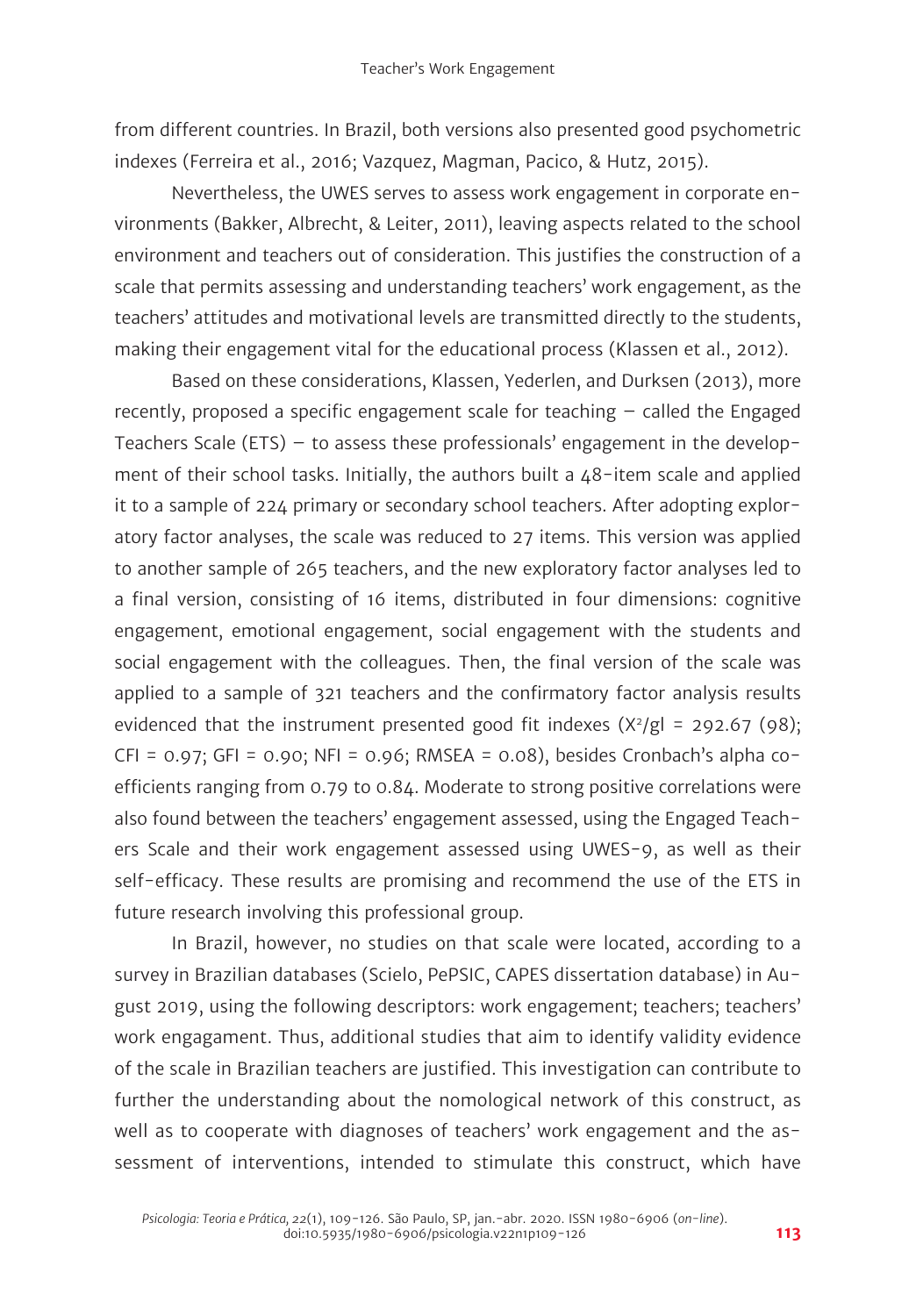from different countries. In Brazil, both versions also presented good psychometric indexes (Ferreira et al., 2016; Vazquez, Magman, Pacico, & Hutz, 2015).

Nevertheless, the UWES serves to assess work engagement in corporate environments (Bakker, Albrecht, & Leiter, 2011), leaving aspects related to the school environment and teachers out of consideration. This justifies the construction of a scale that permits assessing and understanding teachers' work engagement, as the teachers' attitudes and motivational levels are transmitted directly to the students, making their engagement vital for the educational process (Klassen et al., 2012).

Based on these considerations, Klassen, Yederlen, and Durksen (2013), more recently, proposed a specific engagement scale for teaching – called the Engaged Teachers Scale (ETS) – to assess these professionals' engagement in the development of their school tasks. Initially, the authors built a 48-item scale and applied it to a sample of 224 primary or secondary school teachers. After adopting exploratory factor analyses, the scale was reduced to 27 items. This version was applied to another sample of 265 teachers, and the new exploratory factor analyses led to a final version, consisting of 16 items, distributed in four dimensions: cognitive engagement, emotional engagement, social engagement with the students and social engagement with the colleagues. Then, the final version of the scale was applied to a sample of 321 teachers and the confirmatory factor analysis results evidenced that the instrument presented good fit indexes  $(X^2/g) = 292.67 (98);$  $CFI = 0.97$ ;  $GFI = 0.90$ ;  $NFI = 0.96$ ; RMSEA = 0.08), besides Cronbach's alpha coefficients ranging from 0.79 to 0.84. Moderate to strong positive correlations were also found between the teachers' engagement assessed, using the Engaged Teachers Scale and their work engagement assessed using UWES-9, as well as their self-efficacy. These results are promising and recommend the use of the ETS in future research involving this professional group.

In Brazil, however, no studies on that scale were located, according to a survey in Brazilian databases (Scielo, PePSIC, CAPES dissertation database) in August 2019, using the following descriptors: work engagement; teachers; teachers' work engagament. Thus, additional studies that aim to identify validity evidence of the scale in Brazilian teachers are justified. This investigation can contribute to further the understanding about the nomological network of this construct, as well as to cooperate with diagnoses of teachers' work engagement and the assessment of interventions, intended to stimulate this construct, which have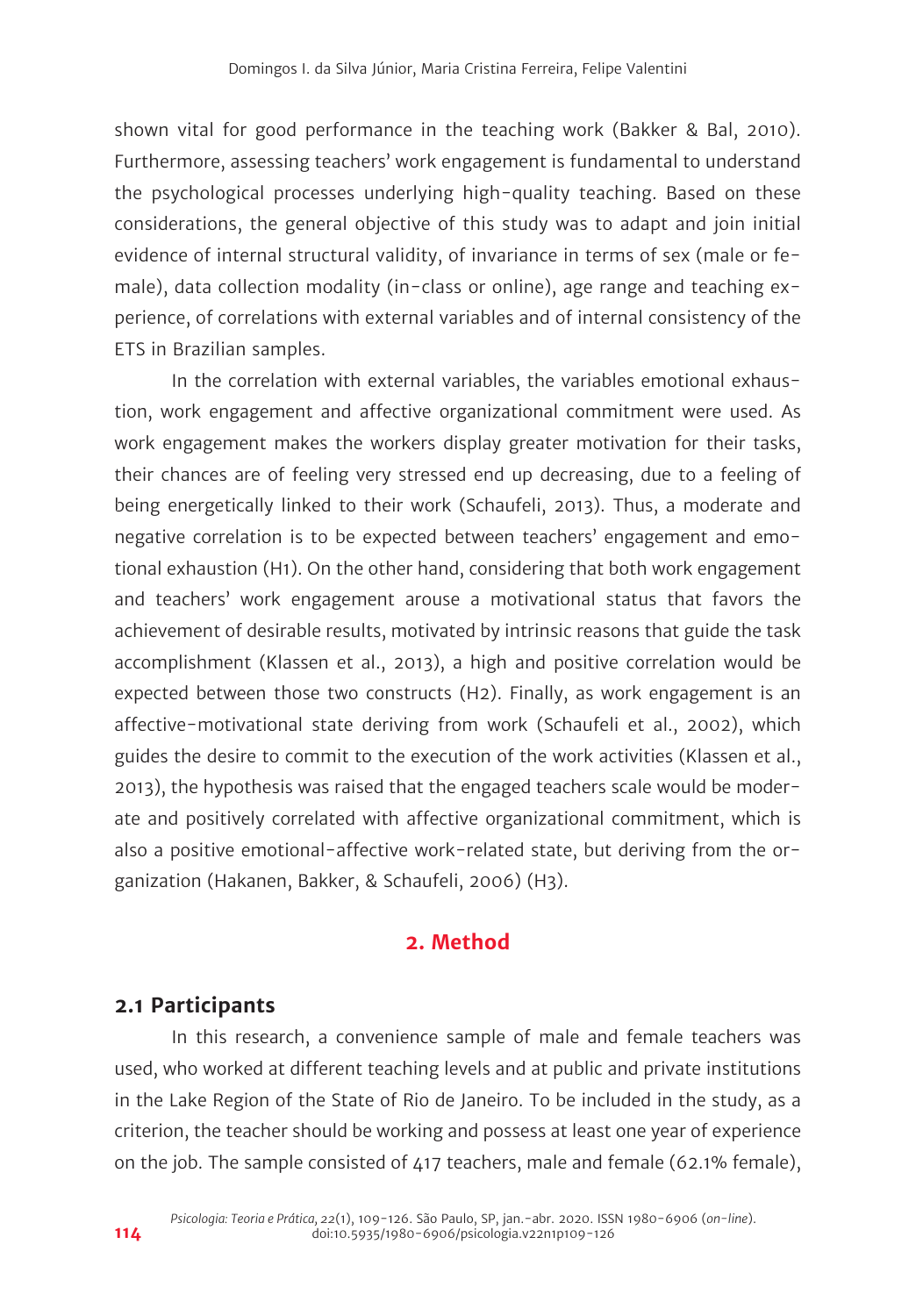shown vital for good performance in the teaching work (Bakker & Bal, 2010). Furthermore, assessing teachers' work engagement is fundamental to understand the psychological processes underlying high-quality teaching. Based on these considerations, the general objective of this study was to adapt and join initial evidence of internal structural validity, of invariance in terms of sex (male or female), data collection modality (in-class or online), age range and teaching experience, of correlations with external variables and of internal consistency of the ETS in Brazilian samples.

In the correlation with external variables, the variables emotional exhaustion, work engagement and affective organizational commitment were used. As work engagement makes the workers display greater motivation for their tasks, their chances are of feeling very stressed end up decreasing, due to a feeling of being energetically linked to their work (Schaufeli, 2013). Thus, a moderate and negative correlation is to be expected between teachers' engagement and emotional exhaustion (H1). On the other hand, considering that both work engagement and teachers' work engagement arouse a motivational status that favors the achievement of desirable results, motivated by intrinsic reasons that guide the task accomplishment (Klassen et al., 2013), a high and positive correlation would be expected between those two constructs (H2). Finally, as work engagement is an affective-motivational state deriving from work (Schaufeli et al., 2002), which guides the desire to commit to the execution of the work activities (Klassen et al., 2013), the hypothesis was raised that the engaged teachers scale would be moderate and positively correlated with affective organizational commitment, which is also a positive emotional-affective work-related state, but deriving from the organization (Hakanen, Bakker, & Schaufeli, 2006) (H3).

## **2. Method**

#### **2.1 Participants**

In this research, a convenience sample of male and female teachers was used, who worked at different teaching levels and at public and private institutions in the Lake Region of the State of Rio de Janeiro. To be included in the study, as a criterion, the teacher should be working and possess at least one year of experience on the job. The sample consisted of 417 teachers, male and female (62.1% female),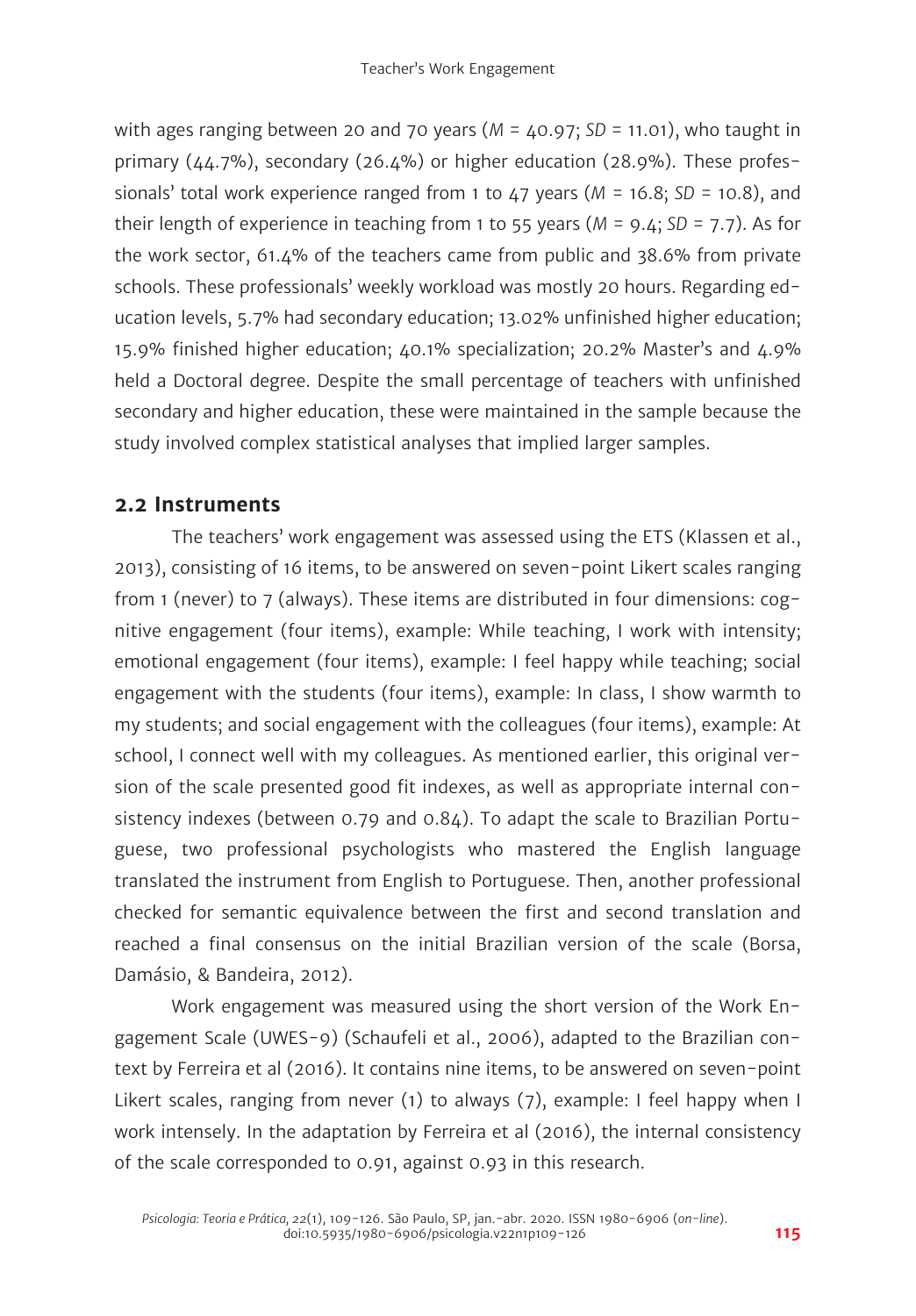with ages ranging between 20 and 70 years (*M* = 40.97; *SD* = 11.01), who taught in primary  $(44.7%)$ , secondary  $(26.4%)$  or higher education  $(28.9%)$ . These professionals' total work experience ranged from 1 to 47 years (*M* = 16.8; *SD* = 10.8), and their length of experience in teaching from 1 to 55 years (*M* = 9.4; *SD* = 7.7). As for the work sector, 61.4% of the teachers came from public and 38.6% from private schools. These professionals' weekly workload was mostly 20 hours. Regarding education levels, 5.7% had secondary education; 13.02% unfinished higher education; 15.9% finished higher education; 40.1% specialization; 20.2% Master's and 4.9% held a Doctoral degree. Despite the small percentage of teachers with unfinished secondary and higher education, these were maintained in the sample because the study involved complex statistical analyses that implied larger samples.

# **2.2 Instruments**

The teachers' work engagement was assessed using the ETS (Klassen et al., 2013), consisting of 16 items, to be answered on seven-point Likert scales ranging from 1 (never) to 7 (always). These items are distributed in four dimensions: cognitive engagement (four items), example: While teaching, I work with intensity; emotional engagement (four items), example: I feel happy while teaching; social engagement with the students (four items), example: In class, I show warmth to my students; and social engagement with the colleagues (four items), example: At school, I connect well with my colleagues. As mentioned earlier, this original version of the scale presented good fit indexes, as well as appropriate internal consistency indexes (between 0.79 and 0.84). To adapt the scale to Brazilian Portuguese, two professional psychologists who mastered the English language translated the instrument from English to Portuguese. Then, another professional checked for semantic equivalence between the first and second translation and reached a final consensus on the initial Brazilian version of the scale (Borsa, Damásio, & Bandeira, 2012).

Work engagement was measured using the short version of the Work Engagement Scale (UWES-9) (Schaufeli et al., 2006), adapted to the Brazilian context by Ferreira et al (2016). It contains nine items, to be answered on seven-point Likert scales, ranging from never (1) to always (7), example: I feel happy when I work intensely. In the adaptation by Ferreira et al (2016), the internal consistency of the scale corresponded to 0.91, against 0.93 in this research.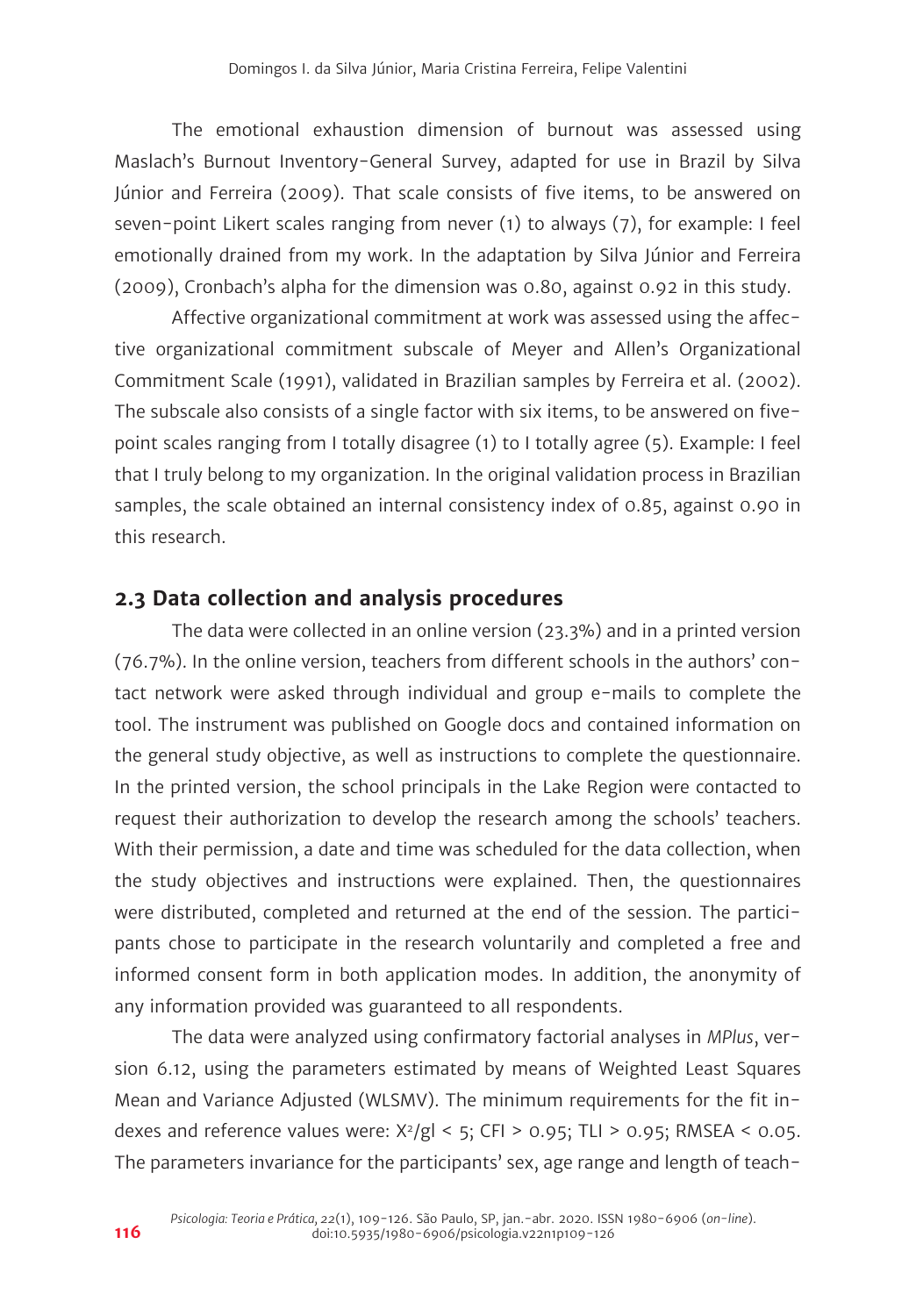The emotional exhaustion dimension of burnout was assessed using Maslach's Burnout Inventory-General Survey, adapted for use in Brazil by Silva Júnior and Ferreira (2009). That scale consists of five items, to be answered on seven-point Likert scales ranging from never (1) to always (7), for example: I feel emotionally drained from my work. In the adaptation by Silva Júnior and Ferreira (2009), Cronbach's alpha for the dimension was 0.80, against 0.92 in this study.

Affective organizational commitment at work was assessed using the affective organizational commitment subscale of Meyer and Allen's Organizational Commitment Scale (1991), validated in Brazilian samples by Ferreira et al. (2002). The subscale also consists of a single factor with six items, to be answered on fivepoint scales ranging from I totally disagree (1) to I totally agree (5). Example: I feel that I truly belong to my organization. In the original validation process in Brazilian samples, the scale obtained an internal consistency index of 0.85, against 0.90 in this research.

#### **2.3 Data collection and analysis procedures**

The data were collected in an online version (23.3%) and in a printed version (76.7%). In the online version, teachers from different schools in the authors' contact network were asked through individual and group e-mails to complete the tool. The instrument was published on Google docs and contained information on the general study objective, as well as instructions to complete the questionnaire. In the printed version, the school principals in the Lake Region were contacted to request their authorization to develop the research among the schools' teachers. With their permission, a date and time was scheduled for the data collection, when the study objectives and instructions were explained. Then, the questionnaires were distributed, completed and returned at the end of the session. The participants chose to participate in the research voluntarily and completed a free and informed consent form in both application modes. In addition, the anonymity of any information provided was guaranteed to all respondents.

The data were analyzed using confirmatory factorial analyses in *MPlus*, version 6.12, using the parameters estimated by means of Weighted Least Squares Mean and Variance Adjusted (WLSMV). The minimum requirements for the fit indexes and reference values were:  $X^2/gI < 5$ ; CFI > 0.95; TLI > 0.95; RMSEA < 0.05. The parameters invariance for the participants' sex, age range and length of teach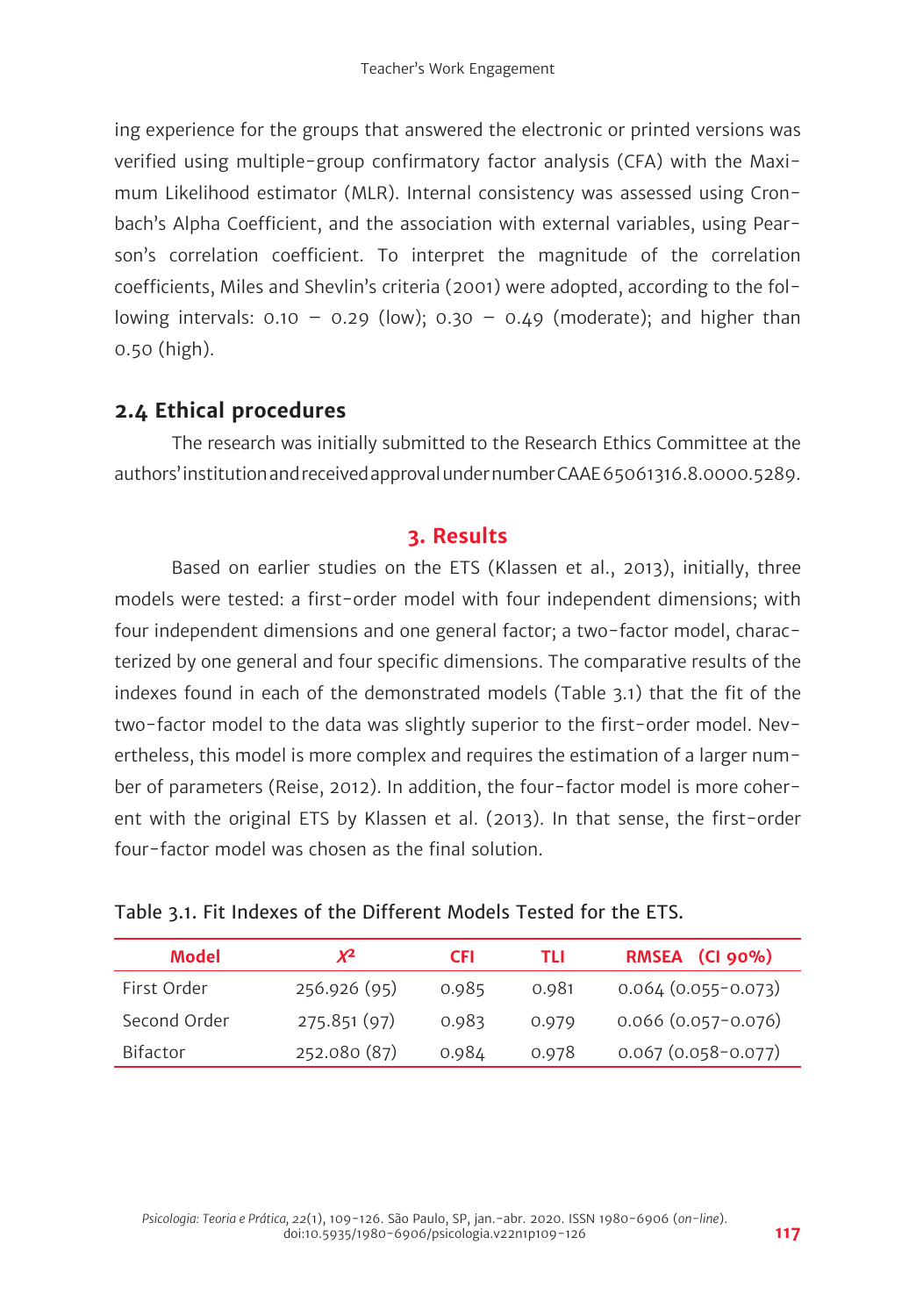ing experience for the groups that answered the electronic or printed versions was verified using multiple-group confirmatory factor analysis (CFA) with the Maximum Likelihood estimator (MLR). Internal consistency was assessed using Cronbach's Alpha Coefficient, and the association with external variables, using Pearson's correlation coefficient. To interpret the magnitude of the correlation coefficients, Miles and Shevlin's criteria (2001) were adopted, according to the following intervals:  $0.10 - 0.29$  (low);  $0.30 - 0.49$  (moderate); and higher than 0.50 (high).

# **2.4 Ethical procedures**

The research was initially submitted to the Research Ethics Committee at the authors' institution and received approval under number CAAE 65061316.8.0000.5289.

# **3. Results**

Based on earlier studies on the ETS (Klassen et al., 2013), initially, three models were tested: a first-order model with four independent dimensions; with four independent dimensions and one general factor; a two-factor model, characterized by one general and four specific dimensions. The comparative results of the indexes found in each of the demonstrated models (Table 3.1) that the fit of the two-factor model to the data was slightly superior to the first-order model. Nevertheless, this model is more complex and requires the estimation of a larger number of parameters (Reise, 2012). In addition, the four-factor model is more coherent with the original ETS by Klassen et al. (2013). In that sense, the first-order four-factor model was chosen as the final solution.

|  | Table 3.1. Fit Indexes of the Different Models Tested for the ETS. |  |
|--|--------------------------------------------------------------------|--|
|--|--------------------------------------------------------------------|--|

| Model           | χ2           | <b>CFI</b> | TLI   | RMSEA (CI 90%)            |
|-----------------|--------------|------------|-------|---------------------------|
| First Order     | 256.926 (95) | 0.985      | 0.981 | $0.064(0.055-0.073)$      |
| Second Order    | 275.851 (97) | 0.983      | 0.979 | $0.066$ $(0.057 - 0.076)$ |
| <b>Bifactor</b> | 252.080 (87) | 0.984      | 0.978 | $0.067(0.058-0.077)$      |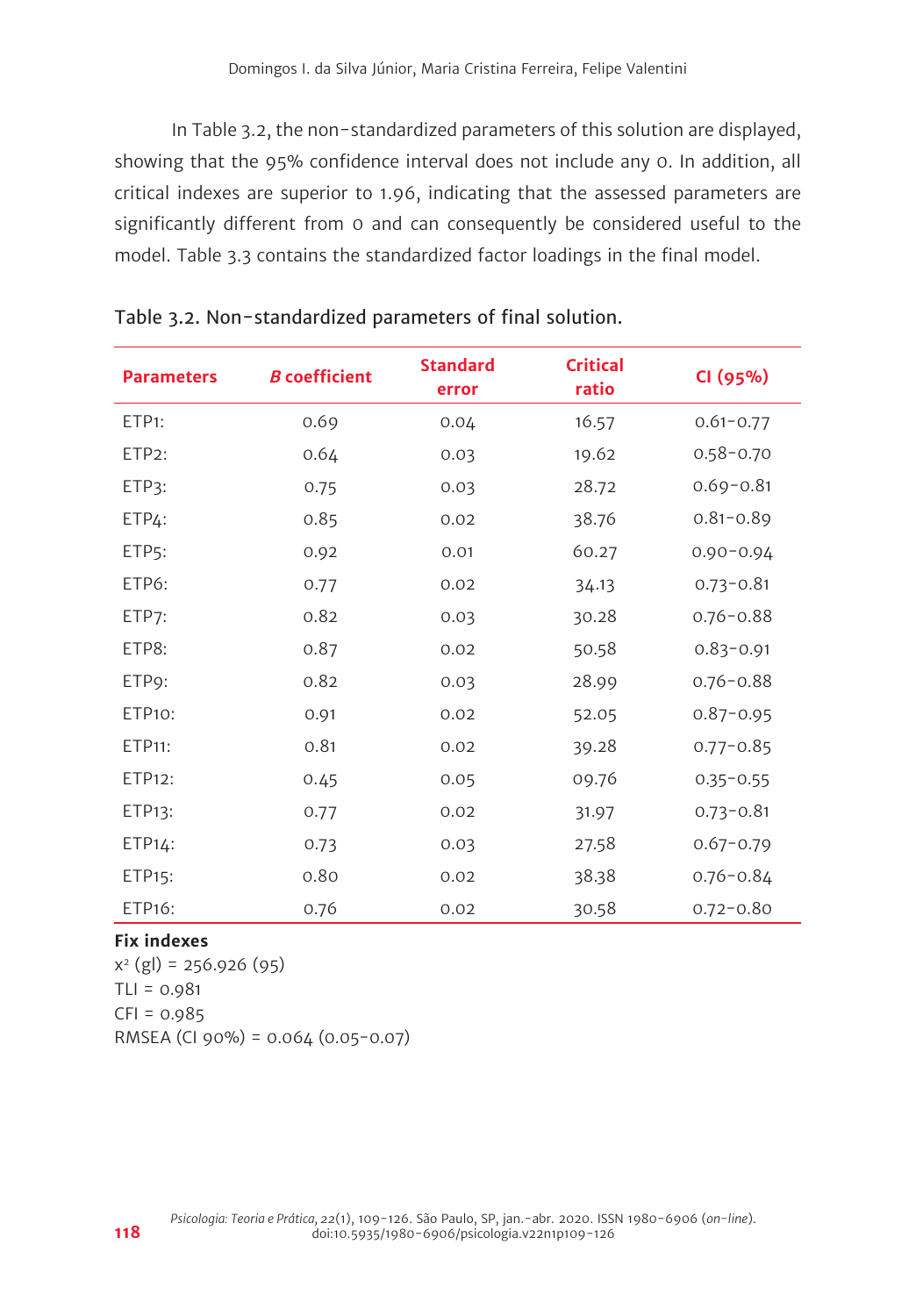In Table 3.2, the non-standardized parameters of this solution are displayed, showing that the 95% confidence interval does not include any 0. In addition, all critical indexes are superior to 1.96, indicating that the assessed parameters are significantly different from 0 and can consequently be considered useful to the model. Table 3.3 contains the standardized factor loadings in the final model.

| <b>Parameters</b>  | <b>B</b> coefficient | <b>Standard</b><br>error | <b>Critical</b><br>ratio | CI (95%)      |
|--------------------|----------------------|--------------------------|--------------------------|---------------|
| ETP <sub>1</sub> : | 0.69                 | 0.04                     | 16.57                    | $0.61 - 0.77$ |
| ETP <sub>2</sub> : | 0.64                 | 0.03                     | 19.62                    | $0.58 - 0.70$ |
| ETP3:              | 0.75                 | 0.03                     | 28.72                    | $0.69 - 0.81$ |
| ETP4:              | 0.85                 | 0.02                     | 38.76                    | $0.81 - 0.89$ |
| ETP <sub>5</sub> : | 0.92                 | 0.01                     | 60.27                    | $0.90 - 0.94$ |
| ETP6:              | 0.77                 | 0.02                     | 34.13                    | $0.73 - 0.81$ |
| ETP7:              | 0.82                 | 0.03                     | 30.28                    | $0.76 - 0.88$ |
| ETP8:              | 0.87                 | 0.02                     | 50.58                    | $0.83 - 0.91$ |
| ETP9:              | 0.82                 | 0.03                     | 28.99                    | $0.76 - 0.88$ |
| ETP10:             | 0.91                 | 0.02                     | 52.05                    | $0.87 - 0.95$ |
| ETP11:             | 0.81                 | 0.02                     | 39.28                    | $0.77 - 0.85$ |
| ETP12:             | 0.45                 | 0.05                     | 09.76                    | $0.35 - 0.55$ |
| ETP13:             | 0.77                 | 0.02                     | 31.97                    | $0.73 - 0.81$ |
| $ETP14$ :          | 0.73                 | 0.03                     | 27.58                    | $0.67 - 0.79$ |
| ETP15:             | 0.80                 | 0.02                     | 38.38                    | $0.76 - 0.84$ |
| ETP16:             | 0.76                 | 0.02                     | 30.58                    | $0.72 - 0.80$ |

#### Table 3.2. Non-standardized parameters of final solution.

#### **Fix indexes**

 $x^{2}$  (gl) = 256.926 (95)  $TLI = 0.981$  $CFI = 0.985$ RMSEA (CI 90%) = 0.064 (0.05-0.07)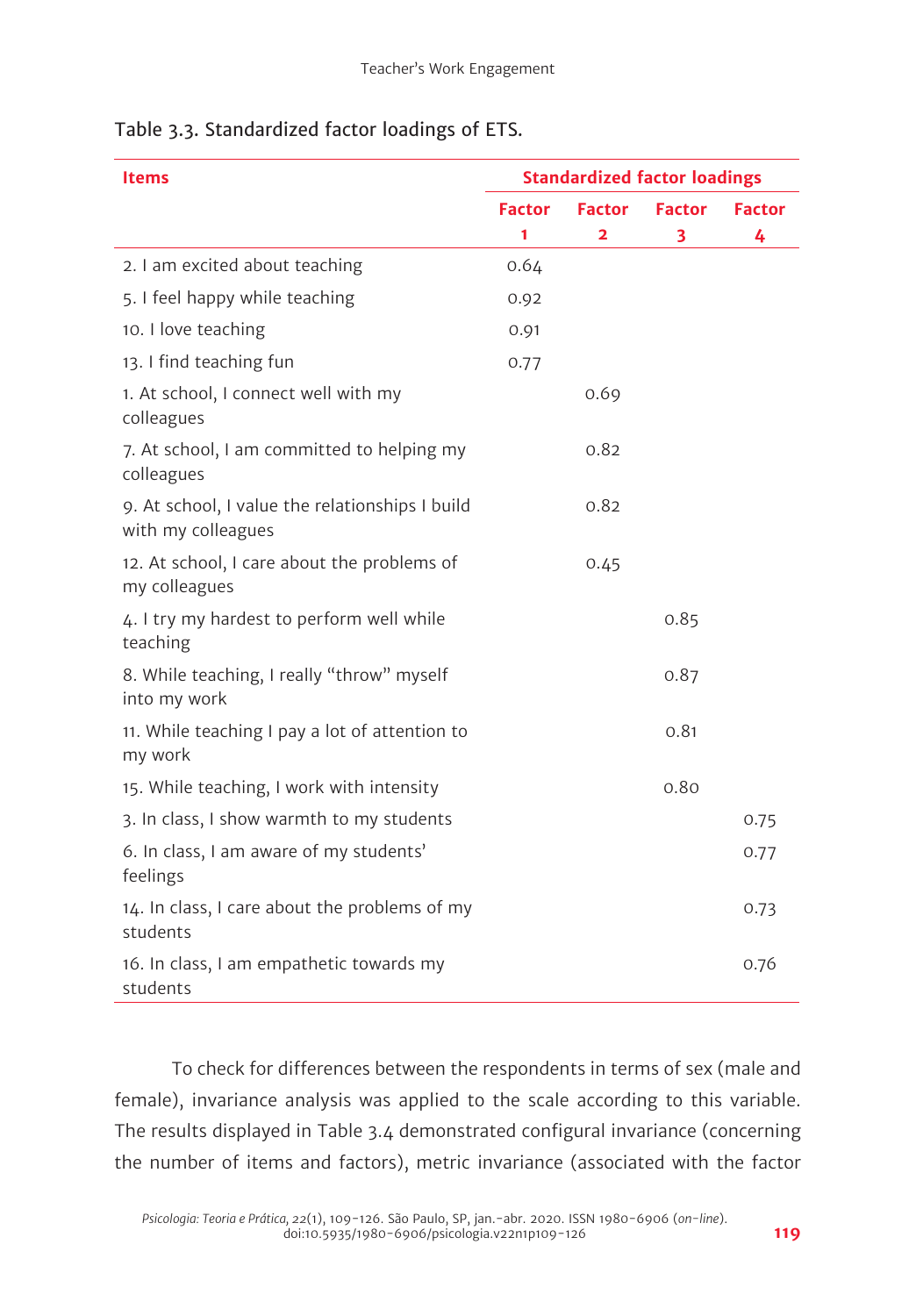| Table 3.3. Standardized factor loadings of ETS. |  |  |
|-------------------------------------------------|--|--|
|                                                 |  |  |

| <b>Items</b>                                                          | <b>Standardized factor loadings</b> |               |               |               |
|-----------------------------------------------------------------------|-------------------------------------|---------------|---------------|---------------|
|                                                                       | <b>Factor</b>                       | <b>Factor</b> | <b>Factor</b> | <b>Factor</b> |
|                                                                       | 1                                   | 2             | 3             | 4             |
| 2. I am excited about teaching                                        | 0.64                                |               |               |               |
| 5. I feel happy while teaching                                        | 0.92                                |               |               |               |
| 10. I love teaching                                                   | 0.91                                |               |               |               |
| 13. I find teaching fun                                               | 0.77                                |               |               |               |
| 1. At school, I connect well with my<br>colleagues                    |                                     | 0.69          |               |               |
| 7. At school, I am committed to helping my<br>colleagues              |                                     | 0.82          |               |               |
| 9. At school, I value the relationships I build<br>with my colleagues |                                     | 0.82          |               |               |
| 12. At school, I care about the problems of<br>my colleagues          |                                     | 0.45          |               |               |
| 4. I try my hardest to perform well while<br>teaching                 |                                     |               | 0.85          |               |
| 8. While teaching, I really "throw" myself<br>into my work            |                                     |               | 0.87          |               |
| 11. While teaching I pay a lot of attention to<br>my work             |                                     |               | 0.81          |               |
| 15. While teaching, I work with intensity                             |                                     |               | 0.80          |               |
| 3. In class, I show warmth to my students                             |                                     |               |               | 0.75          |
| 6. In class, I am aware of my students'<br>feelings                   |                                     |               |               | 0.77          |
| 14. In class, I care about the problems of my<br>students             |                                     |               |               | 0.73          |
| 16. In class, I am empathetic towards my<br>students                  |                                     |               |               | 0.76          |

To check for differences between the respondents in terms of sex (male and female), invariance analysis was applied to the scale according to this variable. The results displayed in Table 3.4 demonstrated configural invariance (concerning the number of items and factors), metric invariance (associated with the factor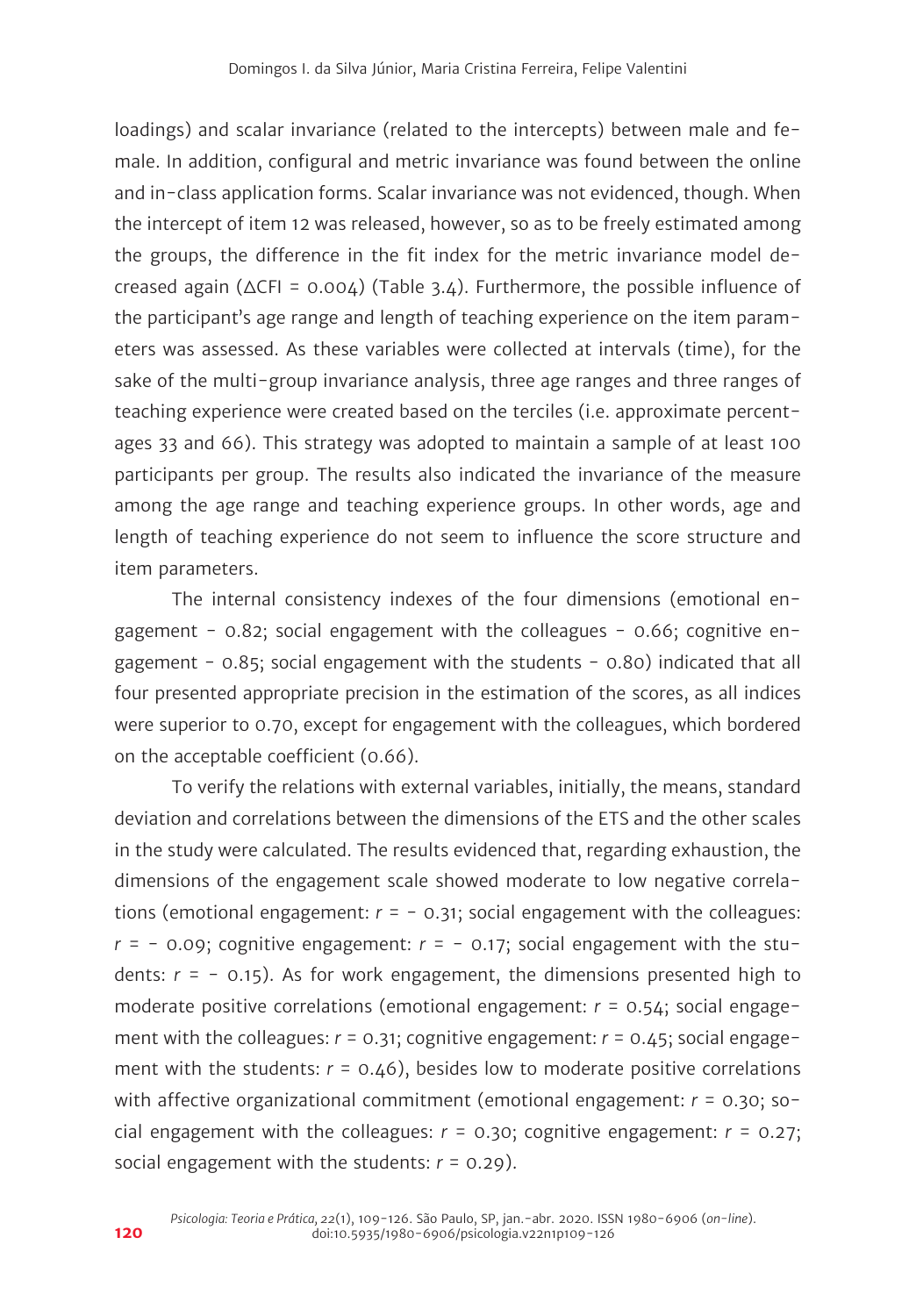loadings) and scalar invariance (related to the intercepts) between male and female. In addition, configural and metric invariance was found between the online and in-class application forms. Scalar invariance was not evidenced, though. When the intercept of item 12 was released, however, so as to be freely estimated among the groups, the difference in the fit index for the metric invariance model decreased again (∆CFI = 0.004) (Table 3.4). Furthermore, the possible influence of the participant's age range and length of teaching experience on the item parameters was assessed. As these variables were collected at intervals (time), for the sake of the multi-group invariance analysis, three age ranges and three ranges of teaching experience were created based on the terciles (i.e. approximate percentages 33 and 66). This strategy was adopted to maintain a sample of at least 100 participants per group. The results also indicated the invariance of the measure among the age range and teaching experience groups. In other words, age and length of teaching experience do not seem to influence the score structure and item parameters.

The internal consistency indexes of the four dimensions (emotional engagement -  $0.82$ ; social engagement with the colleagues -  $0.66$ ; cognitive engagement -  $0.85$ ; social engagement with the students -  $0.80$ ) indicated that all four presented appropriate precision in the estimation of the scores, as all indices were superior to 0.70, except for engagement with the colleagues, which bordered on the acceptable coefficient (0.66).

To verify the relations with external variables, initially, the means, standard deviation and correlations between the dimensions of the ETS and the other scales in the study were calculated. The results evidenced that, regarding exhaustion, the dimensions of the engagement scale showed moderate to low negative correlations (emotional engagement: *r* = - 0.31; social engagement with the colleagues:  $r = -0.09$ ; cognitive engagement:  $r = -0.17$ ; social engagement with the students: *r* = - 0.15). As for work engagement, the dimensions presented high to moderate positive correlations (emotional engagement: *r* = 0.54; social engagement with the colleagues: *r* = 0.31; cognitive engagement: *r* = 0.45; social engagement with the students:  $r = 0.46$ ), besides low to moderate positive correlations with affective organizational commitment (emotional engagement: *r* = 0.30; social engagement with the colleagues:  $r = 0.30$ ; cognitive engagement:  $r = 0.27$ ; social engagement with the students: *r* = 0.29).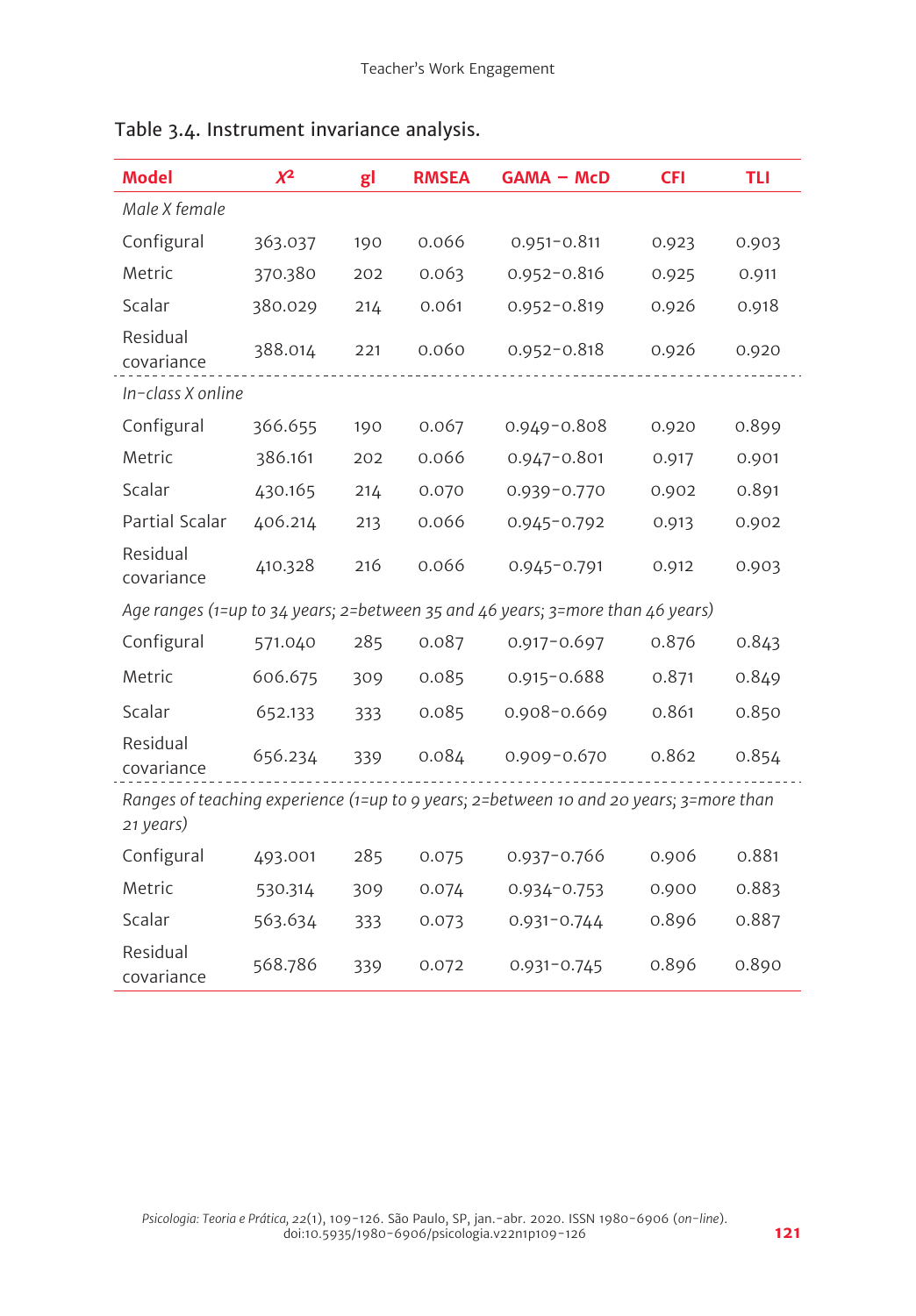| <b>Model</b>                                                                                        | $x^2$   | gl  | <b>RMSEA</b> | <b>GAMA - McD</b>                                                              | <b>CFI</b> | <b>TLI</b> |  |
|-----------------------------------------------------------------------------------------------------|---------|-----|--------------|--------------------------------------------------------------------------------|------------|------------|--|
| Male X female                                                                                       |         |     |              |                                                                                |            |            |  |
| Configural                                                                                          | 363.037 | 190 | 0.066        | $0.951 - 0.811$                                                                | 0.923      | 0.903      |  |
| Metric                                                                                              | 370.380 | 202 | 0.063        | $0.952 - 0.816$                                                                | 0.925      | 0.911      |  |
| Scalar                                                                                              | 380.029 | 214 | 0.061        | $0.952 - 0.819$                                                                | 0.926      | 0.918      |  |
| Residual<br>covariance                                                                              | 388.014 | 221 | 0.060        | $0.952 - 0.818$                                                                | 0.926      | 0.920      |  |
| In-class X online                                                                                   |         |     |              |                                                                                |            |            |  |
| Configural                                                                                          | 366.655 | 190 | 0.067        | $0.949 - 0.808$                                                                | 0.920      | 0.899      |  |
| Metric                                                                                              | 386.161 | 202 | 0.066        | $0.947 - 0.801$                                                                | 0.917      | 0.901      |  |
| Scalar                                                                                              | 430.165 | 214 | 0.070        | $0.939 - 0.770$                                                                | 0.902      | 0.891      |  |
| Partial Scalar                                                                                      | 406.214 | 213 | 0.066        | 0.945-0.792                                                                    | 0.913      | 0.902      |  |
| Residual<br>covariance                                                                              | 410.328 | 216 | 0.066        | $0.945 - 0.791$                                                                | 0.912      | 0.903      |  |
|                                                                                                     |         |     |              | Age ranges (1=up to 34 years; 2=between 35 and 46 years; 3=more than 46 years) |            |            |  |
| Configural                                                                                          | 571.040 | 285 | 0.087        | $0.917 - 0.697$                                                                | 0.876      | 0.843      |  |
| Metric                                                                                              | 606.675 | 309 | 0.085        | $0.915 - 0.688$                                                                | 0.871      | 0.849      |  |
| Scalar                                                                                              | 652.133 | 333 | 0.085        | $0.908 - 0.669$                                                                | 0.861      | 0.850      |  |
| Residual<br>covariance                                                                              | 656.234 | 339 | 0.084        | $0.909 - 0.670$                                                                | 0.862      | 0.854      |  |
| Ranges of teaching experience (1=up to 9 years; 2=between 10 and 20 years; 3=more than<br>21 years) |         |     |              |                                                                                |            |            |  |
| Configural                                                                                          | 493.001 | 285 | 0.075        | $0.937 - 0.766$                                                                | 0.906      | 0.881      |  |
| Metric                                                                                              | 530.314 | 309 | 0.074        | $0.934 - 0.753$                                                                | 0.900      | 0.883      |  |
| Scalar                                                                                              | 563.634 | 333 | 0.073        | $0.931 - 0.744$                                                                | 0.896      | 0.887      |  |
| Residual<br>covariance                                                                              | 568.786 | 339 | 0.072        | $0.931 - 0.745$                                                                | 0.896      | 0.890      |  |

# Table 3.4. Instrument invariance analysis.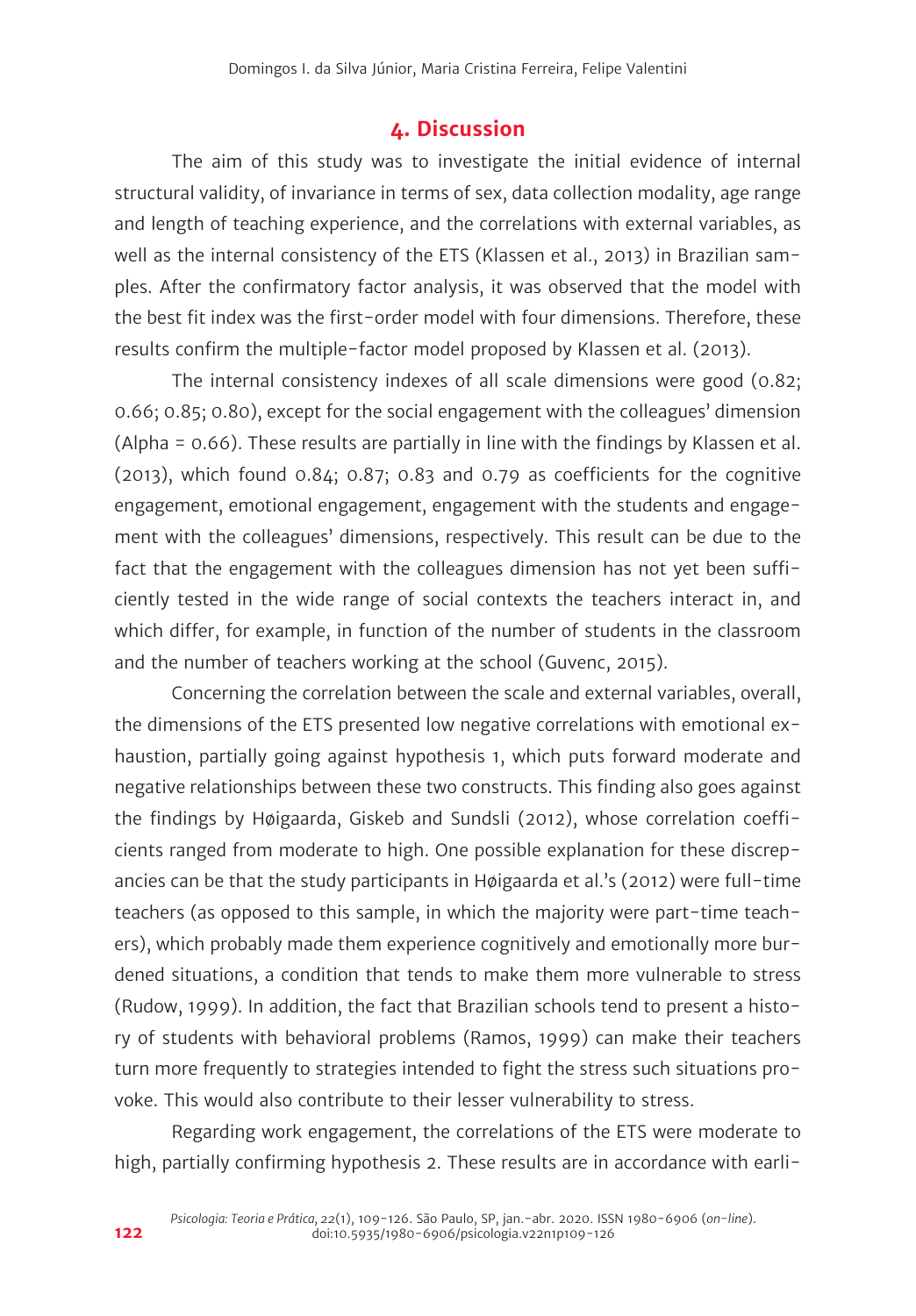# **4. Discussion**

The aim of this study was to investigate the initial evidence of internal structural validity, of invariance in terms of sex, data collection modality, age range and length of teaching experience, and the correlations with external variables, as well as the internal consistency of the ETS (Klassen et al., 2013) in Brazilian samples. After the confirmatory factor analysis, it was observed that the model with the best fit index was the first-order model with four dimensions. Therefore, these results confirm the multiple-factor model proposed by Klassen et al. (2013).

The internal consistency indexes of all scale dimensions were good (0.82; 0.66; 0.85; 0.80), except for the social engagement with the colleagues' dimension (Alpha = 0.66). These results are partially in line with the findings by Klassen et al. (2013), which found 0.84; 0.87; 0.83 and 0.79 as coefficients for the cognitive engagement, emotional engagement, engagement with the students and engagement with the colleagues' dimensions, respectively. This result can be due to the fact that the engagement with the colleagues dimension has not yet been sufficiently tested in the wide range of social contexts the teachers interact in, and which differ, for example, in function of the number of students in the classroom and the number of teachers working at the school (Guvenc, 2015).

Concerning the correlation between the scale and external variables, overall, the dimensions of the ETS presented low negative correlations with emotional exhaustion, partially going against hypothesis 1, which puts forward moderate and negative relationships between these two constructs. This finding also goes against the findings by Høigaarda, Giskeb and Sundsli (2012), whose correlation coefficients ranged from moderate to high. One possible explanation for these discrepancies can be that the study participants in Høigaarda et al.'s (2012) were full-time teachers (as opposed to this sample, in which the majority were part-time teachers), which probably made them experience cognitively and emotionally more burdened situations, a condition that tends to make them more vulnerable to stress (Rudow, 1999). In addition, the fact that Brazilian schools tend to present a history of students with behavioral problems (Ramos, 1999) can make their teachers turn more frequently to strategies intended to fight the stress such situations provoke. This would also contribute to their lesser vulnerability to stress.

Regarding work engagement, the correlations of the ETS were moderate to high, partially confirming hypothesis 2. These results are in accordance with earli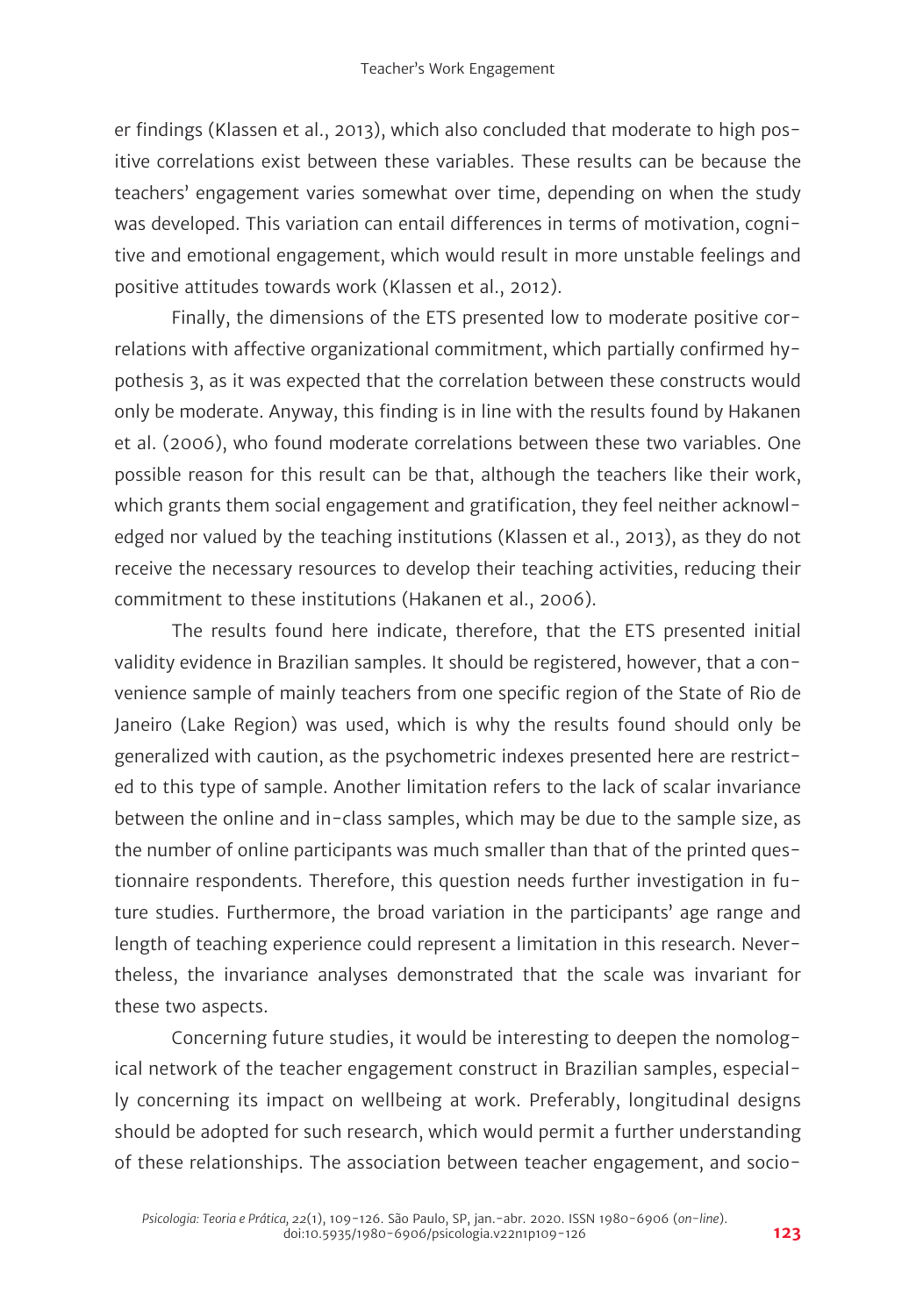er findings (Klassen et al., 2013), which also concluded that moderate to high positive correlations exist between these variables. These results can be because the teachers' engagement varies somewhat over time, depending on when the study was developed. This variation can entail differences in terms of motivation, cognitive and emotional engagement, which would result in more unstable feelings and positive attitudes towards work (Klassen et al., 2012).

Finally, the dimensions of the ETS presented low to moderate positive correlations with affective organizational commitment, which partially confirmed hypothesis 3, as it was expected that the correlation between these constructs would only be moderate. Anyway, this finding is in line with the results found by Hakanen et al. (2006), who found moderate correlations between these two variables. One possible reason for this result can be that, although the teachers like their work, which grants them social engagement and gratification, they feel neither acknowledged nor valued by the teaching institutions (Klassen et al., 2013), as they do not receive the necessary resources to develop their teaching activities, reducing their commitment to these institutions (Hakanen et al., 2006).

The results found here indicate, therefore, that the ETS presented initial validity evidence in Brazilian samples. It should be registered, however, that a convenience sample of mainly teachers from one specific region of the State of Rio de Janeiro (Lake Region) was used, which is why the results found should only be generalized with caution, as the psychometric indexes presented here are restricted to this type of sample. Another limitation refers to the lack of scalar invariance between the online and in-class samples, which may be due to the sample size, as the number of online participants was much smaller than that of the printed questionnaire respondents. Therefore, this question needs further investigation in future studies. Furthermore, the broad variation in the participants' age range and length of teaching experience could represent a limitation in this research. Nevertheless, the invariance analyses demonstrated that the scale was invariant for these two aspects.

Concerning future studies, it would be interesting to deepen the nomological network of the teacher engagement construct in Brazilian samples, especially concerning its impact on wellbeing at work. Preferably, longitudinal designs should be adopted for such research, which would permit a further understanding of these relationships. The association between teacher engagement, and socio-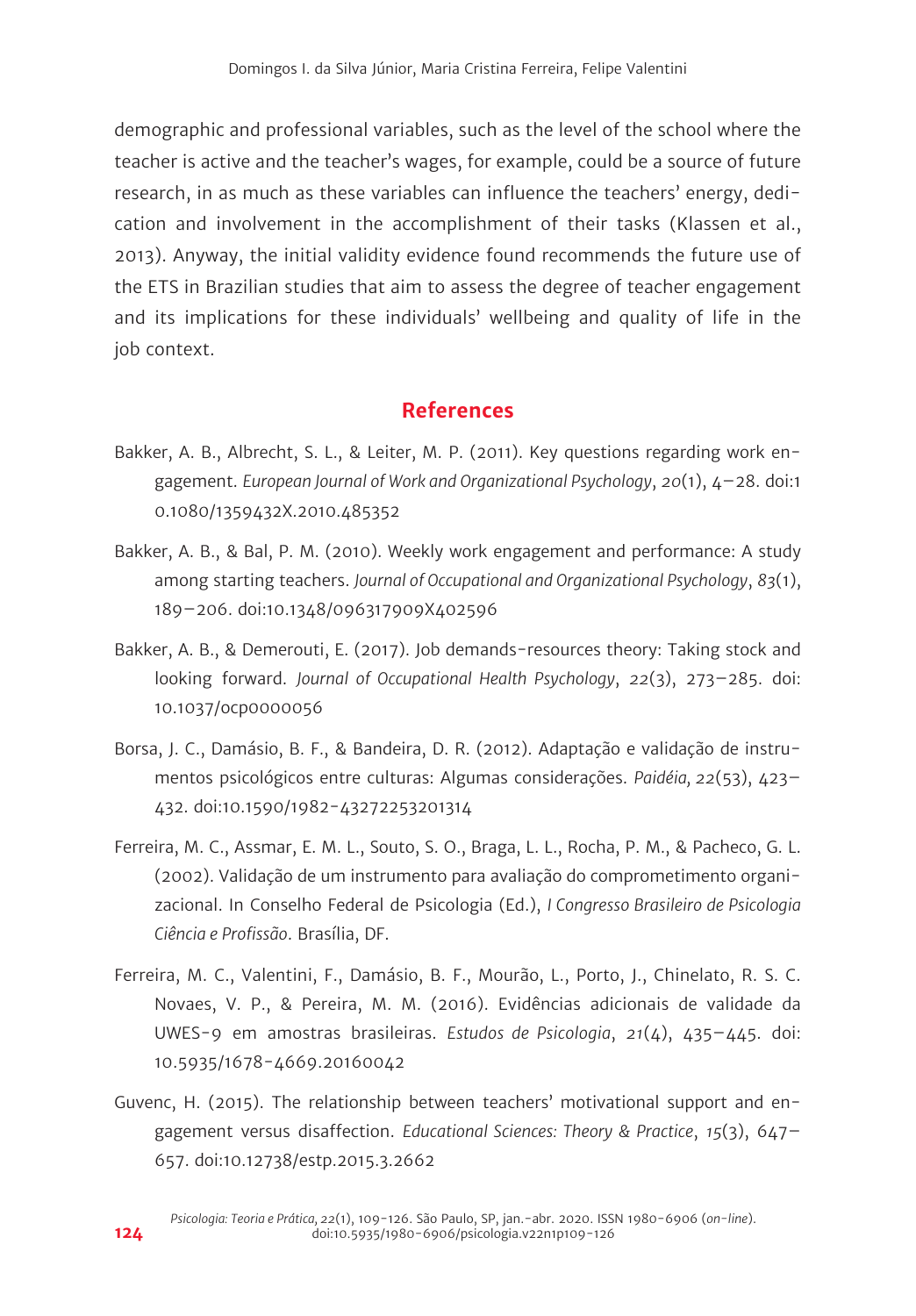demographic and professional variables, such as the level of the school where the teacher is active and the teacher's wages, for example, could be a source of future research, in as much as these variables can influence the teachers' energy, dedication and involvement in the accomplishment of their tasks (Klassen et al., 2013). Anyway, the initial validity evidence found recommends the future use of the ETS in Brazilian studies that aim to assess the degree of teacher engagement and its implications for these individuals' wellbeing and quality of life in the job context.

# **References**

- Bakker, A. B., Albrecht, S. L., & Leiter, M. P. (2011). Key questions regarding work engagement. *European Journal of Work and Organizational Psychology*, *20*(1), 4–28. doi:1 0.1080/1359432X.2010.485352
- Bakker, A. B., & Bal, P. M. (2010). Weekly work engagement and performance: A study among starting teachers. *Journal of Occupational and Organizational Psychology*, *83*(1), 189–206. doi:10.1348/096317909X402596
- Bakker, A. B., & Demerouti, E. (2017). Job demands-resources theory: Taking stock and looking forward. *Journal of Occupational Health Psychology*, *22*(3), 273–285. doi: 10.1037/ocp0000056
- Borsa, J. C., Damásio, B. F., & Bandeira, D. R. (2012). Adaptação e validação de instrumentos psicológicos entre culturas: Algumas considerações. *Paidéia, 22*(53), 423– 432. doi:10.1590/1982-43272253201314
- Ferreira, M. C., Assmar, E. M. L., Souto, S. O., Braga, L. L., Rocha, P. M., & Pacheco, G. L. (2002). Validação de um instrumento para avaliação do comprometimento organizacional. In Conselho Federal de Psicologia (Ed.), *I Congresso Brasileiro de Psicologia Ciência e Profissão*. Brasília, DF.
- Ferreira, M. C., Valentini, F., Damásio, B. F., Mourão, L., Porto, J., Chinelato, R. S. C. Novaes, V. P., & Pereira, M. M. (2016). Evidências adicionais de validade da UWES-9 em amostras brasileiras. *Estudos de Psicologia*, *21*(4), 435–445. doi: 10.5935/1678-4669.20160042
- Guvenc, H. (2015). The relationship between teachers' motivational support and engagement versus disaffection. *Educational Sciences: Theory & Practice*, *15*(3), 647– 657. doi:10.12738/estp.2015.3.2662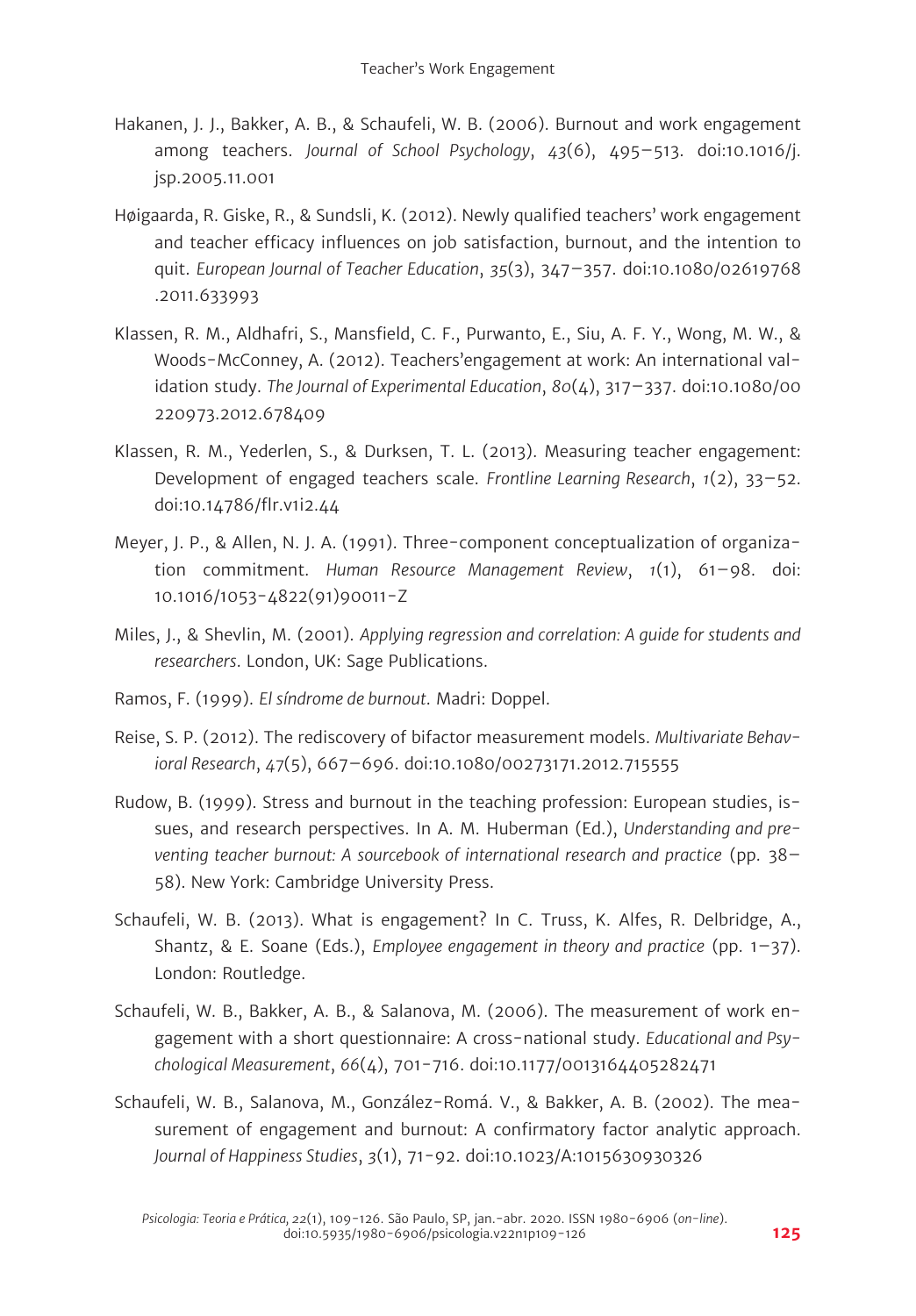- Hakanen, J. J., Bakker, A. B., & Schaufeli, W. B. (2006). Burnout and work engagement among teachers. *Journal of School Psychology*, *43*(6), 495–513. doi:10.1016/j. jsp.2005.11.001
- Høigaarda, R. Giske, R., & Sundsli, K. (2012). Newly qualified teachers' work engagement and teacher efficacy influences on job satisfaction, burnout, and the intention to quit. *European Journal of Teacher Education*, *35*(3), 347–357. doi:10.1080/02619768 .2011.633993
- Klassen, R. M., Aldhafri, S., Mansfield, C. F., Purwanto, E., Siu, A. F. Y., Wong, M. W., & Woods-McConney, A. (2012). Teachers'engagement at work: An international validation study. *The Journal of Experimental Education*, *80*(4), 317–337. doi:10.1080/00 220973.2012.678409
- Klassen, R. M., Yederlen, S., & Durksen, T. L. (2013). Measuring teacher engagement: Development of engaged teachers scale. *Frontline Learning Research*, *1*(2), 33–52. doi:10.14786/flr.v1i2.44
- Meyer, J. P., & Allen, N. J. A. (1991). Three-component conceptualization of organization commitment. *Human Resource Management Review*, *1*(1), 61–98. doi: 10.1016/1053-4822(91)90011-Z
- Miles, J., & Shevlin, M. (2001). *Applying regression and correlation: A guide for students and researchers*. London, UK: Sage Publications.
- Ramos, F. (1999). *El síndrome de burnout*. Madri: Doppel.
- Reise, S. P. (2012). The rediscovery of bifactor measurement models. *Multivariate Behavioral Research*, *47*(5), 667–696. doi:10.1080/00273171.2012.715555
- Rudow, B. (1999). Stress and burnout in the teaching profession: European studies, issues, and research perspectives. In A. M. Huberman (Ed.), *Understanding and preventing teacher burnout: A sourcebook of international research and practice* (pp. 38– 58). New York: Cambridge University Press.
- Schaufeli, W. B. (2013). What is engagement? In C. Truss, K. Alfes, R. Delbridge, A., Shantz, & E. Soane (Eds.), *Employee engagement in theory and practice* (pp. 1–37). London: Routledge.
- Schaufeli, W. B., Bakker, A. B., & Salanova, M. (2006). The measurement of work engagement with a short questionnaire: A cross-national study. *Educational and Psychological Measurement*, *66*(4), 701-716. doi:10.1177/0013164405282471
- Schaufeli, W. B., Salanova, M., González-Romá. V., & Bakker, A. B. (2002). The measurement of engagement and burnout: A confirmatory factor analytic approach. *Journal of Happiness Studies*, *3*(1), 71-92. doi:10.1023/A:1015630930326